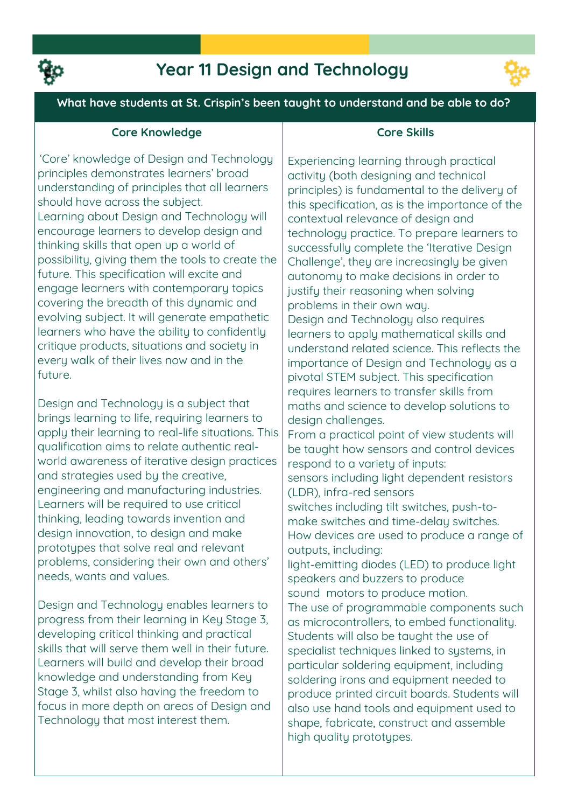

## **Year 11 Design and Technology**



**What have students at St. Crispin's been taught to understand and be able to do?**

## **Core Knowledge**

**'Core' knowledge of Design and Technology principles demonstrates learners' broad understanding of principles that all learners should have across the subject. Learning about Design and Technology will encourage learners to develop design and thinking skills that open up a world of possibility, giving them the tools to create the future. This specification will excite and engage learners with contemporary topics covering the breadth of this dynamic and evolving subject. It will generate empathetic learners who have the ability to confidently critique products, situations and society in every walk of their lives now and in the future.**

**Design and Technology is a subject that brings learning to life, requiring learners to apply their learning to real-life situations. This qualification aims to relate authentic realworld awareness of iterative design practices and strategies used by the creative, engineering and manufacturing industries. Learners will be required to use critical thinking, leading towards invention and design innovation, to design and make prototypes that solve real and relevant problems, considering their own and others' needs, wants and values.** 

**Design and Technology enables learners to progress from their learning in Key Stage 3, developing critical thinking and practical skills that will serve them well in their future. Learners will build and develop their broad knowledge and understanding from Key Stage 3, whilst also having the freedom to focus in more depth on areas of Design and Technology that most interest them.** 

#### **Core Skills**

**Experiencing learning through practical activity (both designing and technical principles) is fundamental to the delivery of this specification, as is the importance of the contextual relevance of design and technology practice. To prepare learners to successfully complete the 'Iterative Design Challenge', they are increasingly be given autonomy to make decisions in order to justify their reasoning when solving problems in their own way. Design and Technology also requires learners to apply mathematical skills and understand related science. This reflects the importance of Design and Technology as a pivotal STEM subject. This specification requires learners to transfer skills from maths and science to develop solutions to design challenges.** 

**From a practical point of view students will be taught how sensors and control devices respond to a variety of inputs:**

**sensors including light dependent resistors (LDR), infra-red sensors** 

**switches including tilt switches, push-tomake switches and time-delay switches. How devices are used to produce a range of outputs, including:** 

**light-emitting diodes (LED) to produce light speakers and buzzers to produce sound motors to produce motion.**

**The use of programmable components such as microcontrollers, to embed functionality. Students will also be taught the use of specialist techniques linked to systems, in particular soldering equipment, including soldering irons and equipment needed to produce printed circuit boards. Students will also use hand tools and equipment used to shape, fabricate, construct and assemble high quality prototypes.**